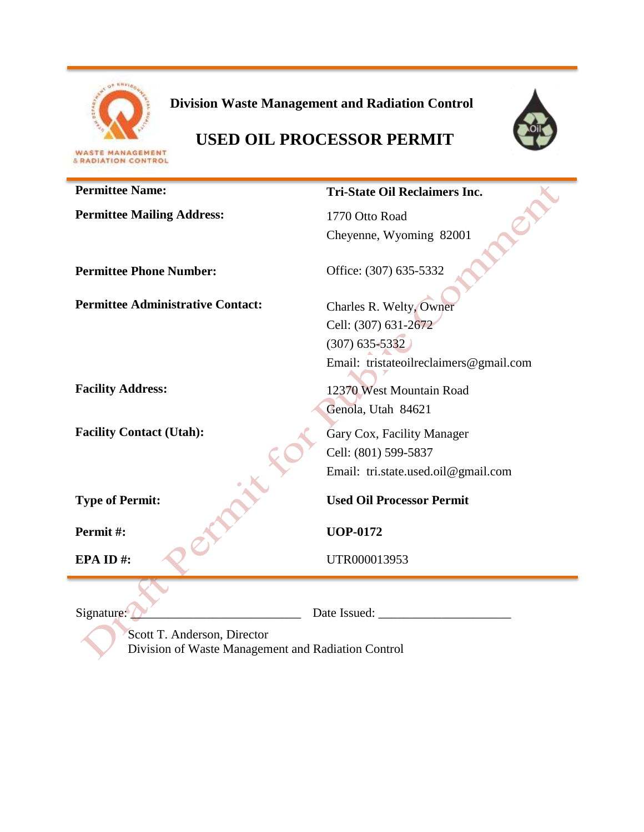

**Division Waste Management and Radiation Control**



# **USED OIL PROCESSOR PERMIT**

| <b>Permittee Name:</b>                   | <b>Tri-State Oil Reclaimers Inc.</b>   |
|------------------------------------------|----------------------------------------|
| <b>Permittee Mailing Address:</b>        | 1770 Otto Road                         |
|                                          | Cheyenne, Wyoming 82001                |
|                                          |                                        |
| <b>Permittee Phone Number:</b>           | Office: (307) 635-5332                 |
|                                          |                                        |
| <b>Permittee Administrative Contact:</b> | Charles R. Welty, Owner                |
|                                          | Cell: (307) 631-2672                   |
|                                          | $(307) 635 - 5332$                     |
|                                          | Email: tristateoilreclaimers@gmail.com |
| <b>Facility Address:</b>                 | 12370 West Mountain Road               |
|                                          | Genola, Utah 84621                     |
| <b>Facility Contact (Utah):</b>          |                                        |
|                                          | Gary Cox, Facility Manager             |
|                                          | Cell: (801) 599-5837                   |
|                                          | Email: tri.state.used.oil@gmail.com    |
| <b>Type of Permit:</b>                   | <b>Used Oil Processor Permit</b>       |
| Permit#:                                 | <b>UOP-0172</b>                        |
| EPA ID#:                                 | UTR000013953                           |
|                                          |                                        |
| Signature:                               | Date Issued:                           |

Scott T. Anderson, Director Division of Waste Management and Radiation Control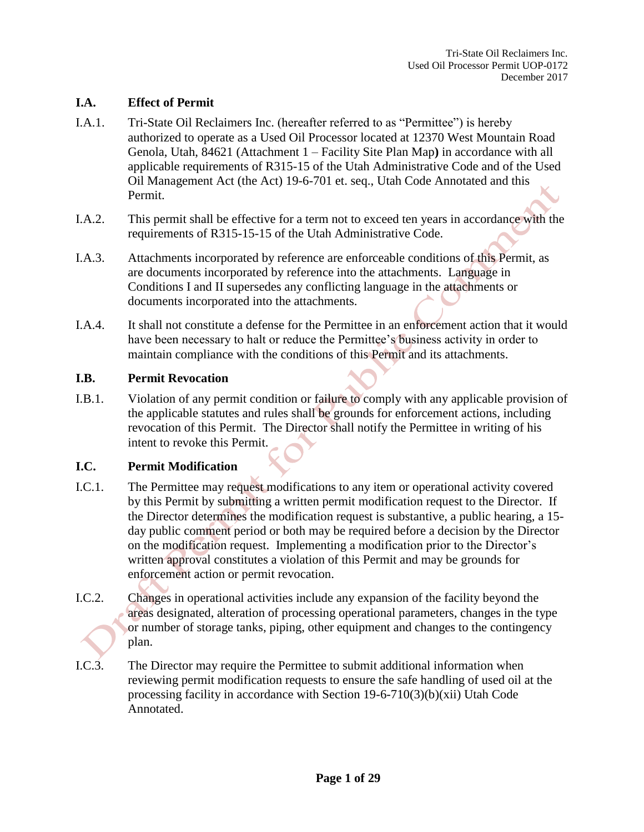#### **I.A. Effect of Permit**

- I.A.1. Tri-State Oil Reclaimers Inc. (hereafter referred to as "Permittee") is hereby authorized to operate as a Used Oil Processor located at 12370 West Mountain Road Genola, Utah, 84621 (Attachment 1 – Facility Site Plan Map**)** in accordance with all applicable requirements of R315-15 of the Utah Administrative Code and of the Used Oil Management Act (the Act) 19-6-701 et. seq., Utah Code Annotated and this Permit.
- I.A.2. This permit shall be effective for a term not to exceed ten years in accordance with the requirements of R315-15-15 of the Utah Administrative Code.
- I.A.3. Attachments incorporated by reference are enforceable conditions of this Permit, as are documents incorporated by reference into the attachments. Language in Conditions I and II supersedes any conflicting language in the attachments or documents incorporated into the attachments.
- I.A.4. It shall not constitute a defense for the Permittee in an enforcement action that it would have been necessary to halt or reduce the Permittee's business activity in order to maintain compliance with the conditions of this Permit and its attachments.

#### **I.B. Permit Revocation**

I.B.1. Violation of any permit condition or failure to comply with any applicable provision of the applicable statutes and rules shall be grounds for enforcement actions, including revocation of this Permit. The Director shall notify the Permittee in writing of his intent to revoke this Permit.

#### **I.C. Permit Modification**

- I.C.1. The Permittee may request modifications to any item or operational activity covered by this Permit by submitting a written permit modification request to the Director. If the Director determines the modification request is substantive, a public hearing, a 15 day public comment period or both may be required before a decision by the Director on the modification request. Implementing a modification prior to the Director's written approval constitutes a violation of this Permit and may be grounds for enforcement action or permit revocation.
- I.C.2. Changes in operational activities include any expansion of the facility beyond the areas designated, alteration of processing operational parameters, changes in the type or number of storage tanks, piping, other equipment and changes to the contingency plan.
- I.C.3. The Director may require the Permittee to submit additional information when reviewing permit modification requests to ensure the safe handling of used oil at the processing facility in accordance with Section 19-6-710(3)(b)(xii) Utah Code Annotated.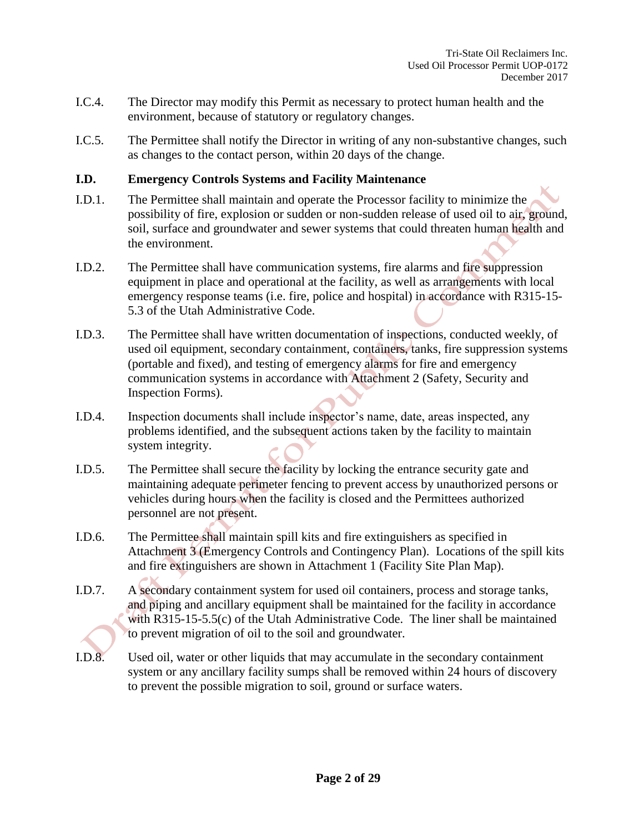- I.C.4. The Director may modify this Permit as necessary to protect human health and the environment, because of statutory or regulatory changes.
- I.C.5. The Permittee shall notify the Director in writing of any non-substantive changes, such as changes to the contact person, within 20 days of the change.

#### **I.D. Emergency Controls Systems and Facility Maintenance**

- I.D.1. The Permittee shall maintain and operate the Processor facility to minimize the possibility of fire, explosion or sudden or non-sudden release of used oil to air, ground, soil, surface and groundwater and sewer systems that could threaten human health and the environment.
- I.D.2. The Permittee shall have communication systems, fire alarms and fire suppression equipment in place and operational at the facility, as well as arrangements with local emergency response teams (i.e. fire, police and hospital) in accordance with R315-15- 5.3 of the Utah Administrative Code.
- I.D.3. The Permittee shall have written documentation of inspections, conducted weekly, of used oil equipment, secondary containment, containers, tanks, fire suppression systems (portable and fixed), and testing of emergency alarms for fire and emergency communication systems in accordance with Attachment 2 (Safety, Security and Inspection Forms).
- I.D.4. Inspection documents shall include inspector's name, date, areas inspected, any problems identified, and the subsequent actions taken by the facility to maintain system integrity.
- I.D.5. The Permittee shall secure the facility by locking the entrance security gate and maintaining adequate perimeter fencing to prevent access by unauthorized persons or vehicles during hours when the facility is closed and the Permittees authorized personnel are not present.
- I.D.6. The Permittee shall maintain spill kits and fire extinguishers as specified in Attachment 3 (Emergency Controls and Contingency Plan). Locations of the spill kits and fire extinguishers are shown in Attachment 1 (Facility Site Plan Map).
- I.D.7. A secondary containment system for used oil containers, process and storage tanks, and piping and ancillary equipment shall be maintained for the facility in accordance with R315-15-5.5(c) of the Utah Administrative Code. The liner shall be maintained to prevent migration of oil to the soil and groundwater.
- I.D.8. Used oil, water or other liquids that may accumulate in the secondary containment system or any ancillary facility sumps shall be removed within 24 hours of discovery to prevent the possible migration to soil, ground or surface waters.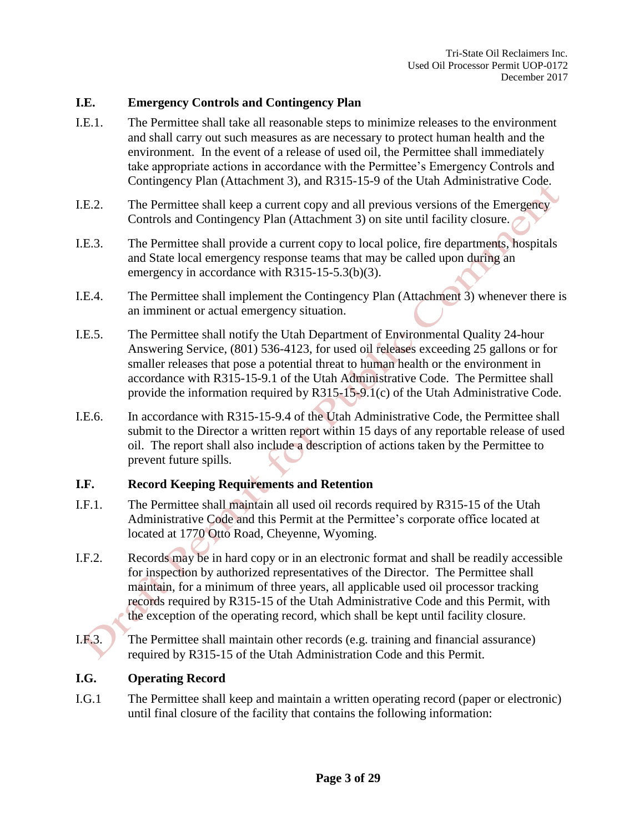#### **I.E. Emergency Controls and Contingency Plan**

- I.E.1. The Permittee shall take all reasonable steps to minimize releases to the environment and shall carry out such measures as are necessary to protect human health and the environment. In the event of a release of used oil, the Permittee shall immediately take appropriate actions in accordance with the Permittee's Emergency Controls and Contingency Plan (Attachment 3), and R315-15-9 of the Utah Administrative Code.
- I.E.2. The Permittee shall keep a current copy and all previous versions of the Emergency Controls and Contingency Plan (Attachment 3) on site until facility closure.
- I.E.3. The Permittee shall provide a current copy to local police, fire departments, hospitals and State local emergency response teams that may be called upon during an emergency in accordance with R315-15-5.3(b)(3).
- I.E.4. The Permittee shall implement the Contingency Plan (Attachment 3) whenever there is an imminent or actual emergency situation.
- I.E.5. The Permittee shall notify the Utah Department of Environmental Quality 24-hour Answering Service, (801) 536-4123, for used oil releases exceeding 25 gallons or for smaller releases that pose a potential threat to human health or the environment in accordance with R315-15-9.1 of the Utah Administrative Code. The Permittee shall provide the information required by R315-15-9.1(c) of the Utah Administrative Code.
- I.E.6. In accordance with R315-15-9.4 of the Utah Administrative Code, the Permittee shall submit to the Director a written report within 15 days of any reportable release of used oil. The report shall also include a description of actions taken by the Permittee to prevent future spills.

#### **I.F. Record Keeping Requirements and Retention**

- I.F.1. The Permittee shall maintain all used oil records required by R315-15 of the Utah Administrative Code and this Permit at the Permittee's corporate office located at located at 1770 Otto Road, Cheyenne, Wyoming.
- I.F.2. Records may be in hard copy or in an electronic format and shall be readily accessible for inspection by authorized representatives of the Director. The Permittee shall maintain, for a minimum of three years, all applicable used oil processor tracking records required by R315-15 of the Utah Administrative Code and this Permit, with the exception of the operating record, which shall be kept until facility closure.
- I.F.3. The Permittee shall maintain other records (e.g. training and financial assurance) required by R315-15 of the Utah Administration Code and this Permit.

#### **I.G. Operating Record**

I.G.1 The Permittee shall keep and maintain a written operating record (paper or electronic) until final closure of the facility that contains the following information: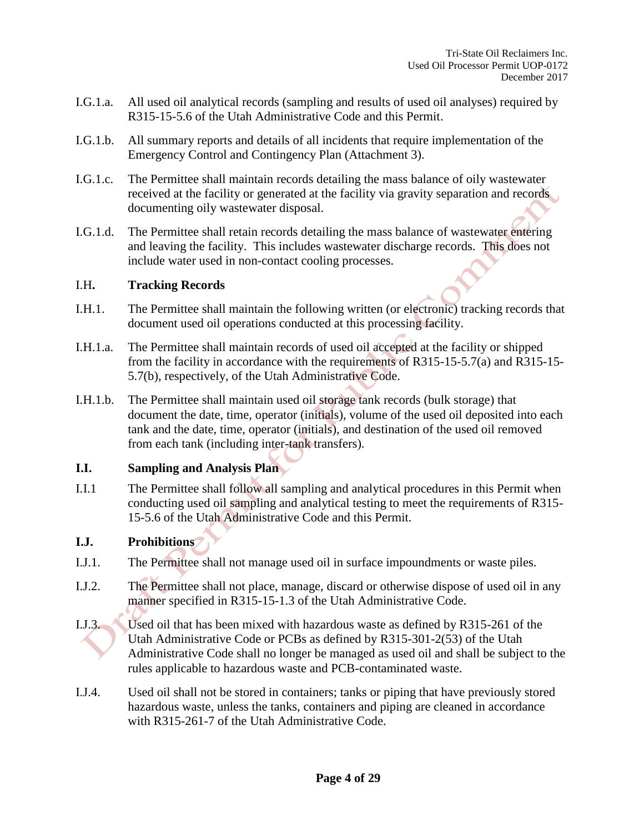- I.G.1.a. All used oil analytical records (sampling and results of used oil analyses) required by R315-15-5.6 of the Utah Administrative Code and this Permit.
- I.G.1.b. All summary reports and details of all incidents that require implementation of the Emergency Control and Contingency Plan (Attachment 3).
- I.G.1.c. The Permittee shall maintain records detailing the mass balance of oily wastewater received at the facility or generated at the facility via gravity separation and records documenting oily wastewater disposal.
- I.G.1.d. The Permittee shall retain records detailing the mass balance of wastewater entering and leaving the facility. This includes wastewater discharge records. This does not include water used in non-contact cooling processes.

#### I.H**. Tracking Records**

- I.H.1. The Permittee shall maintain the following written (or electronic) tracking records that document used oil operations conducted at this processing facility.
- I.H.1.a. The Permittee shall maintain records of used oil accepted at the facility or shipped from the facility in accordance with the requirements of R315-15-5.7(a) and R315-15- 5.7(b), respectively, of the Utah Administrative Code.
- I.H.1.b. The Permittee shall maintain used oil storage tank records (bulk storage) that document the date, time, operator (initials), volume of the used oil deposited into each tank and the date, time, operator (initials), and destination of the used oil removed from each tank (including inter-tank transfers).

#### **I.I. Sampling and Analysis Plan**

I.I.1 The Permittee shall follow all sampling and analytical procedures in this Permit when conducting used oil sampling and analytical testing to meet the requirements of R315- 15-5.6 of the Utah Administrative Code and this Permit.

#### **I.J. Prohibitions**

- I.J.1. The Permittee shall not manage used oil in surface impoundments or waste piles.
- I.J.2. The Permittee shall not place, manage, discard or otherwise dispose of used oil in any manner specified in R315-15-1.3 of the Utah Administrative Code.
- I.J.3. Used oil that has been mixed with hazardous waste as defined by R315-261 of the Utah Administrative Code or PCBs as defined by R315-301-2(53) of the Utah Administrative Code shall no longer be managed as used oil and shall be subject to the rules applicable to hazardous waste and PCB-contaminated waste.
- I.J.4. Used oil shall not be stored in containers; tanks or piping that have previously stored hazardous waste, unless the tanks, containers and piping are cleaned in accordance with R315-261-7 of the Utah Administrative Code.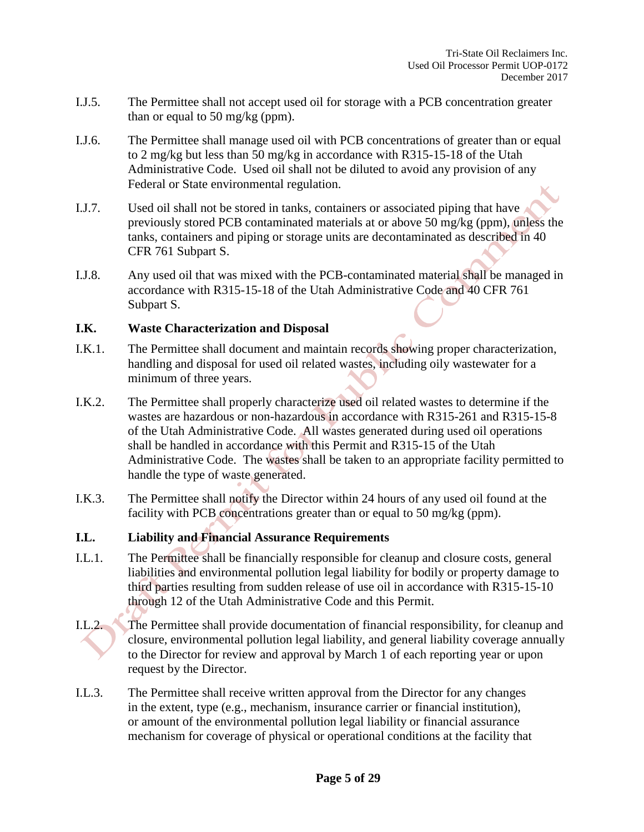- I.J.5. The Permittee shall not accept used oil for storage with a PCB concentration greater than or equal to 50 mg/kg (ppm).
- I.J.6. The Permittee shall manage used oil with PCB concentrations of greater than or equal to 2 mg/kg but less than 50 mg/kg in accordance with R315-15-18 of the Utah Administrative Code. Used oil shall not be diluted to avoid any provision of any Federal or State environmental regulation.
- I.J.7. Used oil shall not be stored in tanks, containers or associated piping that have previously stored PCB contaminated materials at or above 50 mg/kg (ppm), unless the tanks, containers and piping or storage units are decontaminated as described in 40 CFR 761 Subpart S.
- I.J.8. Any used oil that was mixed with the PCB-contaminated material shall be managed in accordance with R315-15-18 of the Utah Administrative Code and 40 CFR 761 Subpart S.

#### **I.K. Waste Characterization and Disposal**

- I.K.1. The Permittee shall document and maintain records showing proper characterization, handling and disposal for used oil related wastes, including oily wastewater for a minimum of three years.
- I.K.2. The Permittee shall properly characterize used oil related wastes to determine if the wastes are hazardous or non-hazardous in accordance with R315-261 and R315-15-8 of the Utah Administrative Code. All wastes generated during used oil operations shall be handled in accordance with this Permit and R315-15 of the Utah Administrative Code. The wastes shall be taken to an appropriate facility permitted to handle the type of waste generated.
- I.K.3. The Permittee shall notify the Director within 24 hours of any used oil found at the facility with PCB concentrations greater than or equal to 50 mg/kg (ppm).

#### **I.L. Liability and Financial Assurance Requirements**

- I.L.1. The Permittee shall be financially responsible for cleanup and closure costs, general liabilities and environmental pollution legal liability for bodily or property damage to third parties resulting from sudden release of use oil in accordance with R315-15-10 through 12 of the Utah Administrative Code and this Permit.
- I.L.2. The Permittee shall provide documentation of financial responsibility, for cleanup and closure, environmental pollution legal liability, and general liability coverage annually to the Director for review and approval by March 1 of each reporting year or upon request by the Director.
- I.L.3. The Permittee shall receive written approval from the Director for any changes in the extent, type (e.g., mechanism, insurance carrier or financial institution), or amount of the environmental pollution legal liability or financial assurance mechanism for coverage of physical or operational conditions at the facility that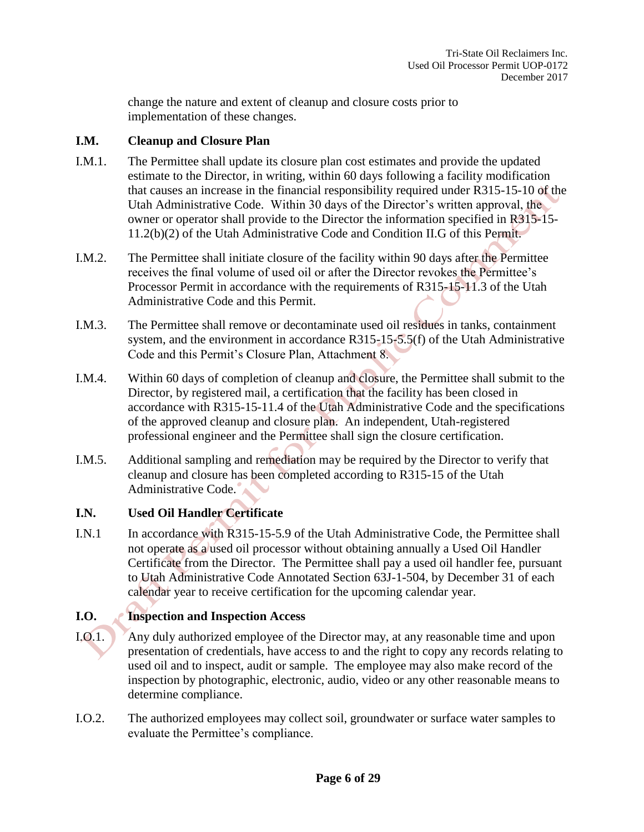change the nature and extent of cleanup and closure costs prior to implementation of these changes.

#### **I.M. Cleanup and Closure Plan**

- I.M.1. The Permittee shall update its closure plan cost estimates and provide the updated estimate to the Director, in writing, within 60 days following a facility modification that causes an increase in the financial responsibility required under R315-15-10 of the Utah Administrative Code. Within 30 days of the Director's written approval, the owner or operator shall provide to the Director the information specified in R315-15- 11.2(b)(2) of the Utah Administrative Code and Condition II.G of this Permit.
- I.M.2. The Permittee shall initiate closure of the facility within 90 days after the Permittee receives the final volume of used oil or after the Director revokes the Permittee's Processor Permit in accordance with the requirements of R315-15-11.3 of the Utah Administrative Code and this Permit.
- I.M.3. The Permittee shall remove or decontaminate used oil residues in tanks, containment system, and the environment in accordance R315-15-5.5(f) of the Utah Administrative Code and this Permit's Closure Plan, Attachment 8.
- I.M.4. Within 60 days of completion of cleanup and closure, the Permittee shall submit to the Director, by registered mail, a certification that the facility has been closed in accordance with R315-15-11.4 of the Utah Administrative Code and the specifications of the approved cleanup and closure plan. An independent, Utah-registered professional engineer and the Permittee shall sign the closure certification.
- I.M.5. Additional sampling and remediation may be required by the Director to verify that cleanup and closure has been completed according to R315-15 of the Utah Administrative Code.

## **I.N. Used Oil Handler Certificate**

I.N.1 In accordance with R315-15-5.9 of the Utah Administrative Code, the Permittee shall not operate as a used oil processor without obtaining annually a Used Oil Handler Certificate from the Director. The Permittee shall pay a used oil handler fee, pursuant to Utah Administrative Code Annotated Section 63J-1-504, by December 31 of each calendar year to receive certification for the upcoming calendar year.

## **I.O. Inspection and Inspection Access**

- I.O.1. Any duly authorized employee of the Director may, at any reasonable time and upon presentation of credentials, have access to and the right to copy any records relating to used oil and to inspect, audit or sample. The employee may also make record of the inspection by photographic, electronic, audio, video or any other reasonable means to determine compliance.
- I.O.2. The authorized employees may collect soil, groundwater or surface water samples to evaluate the Permittee's compliance.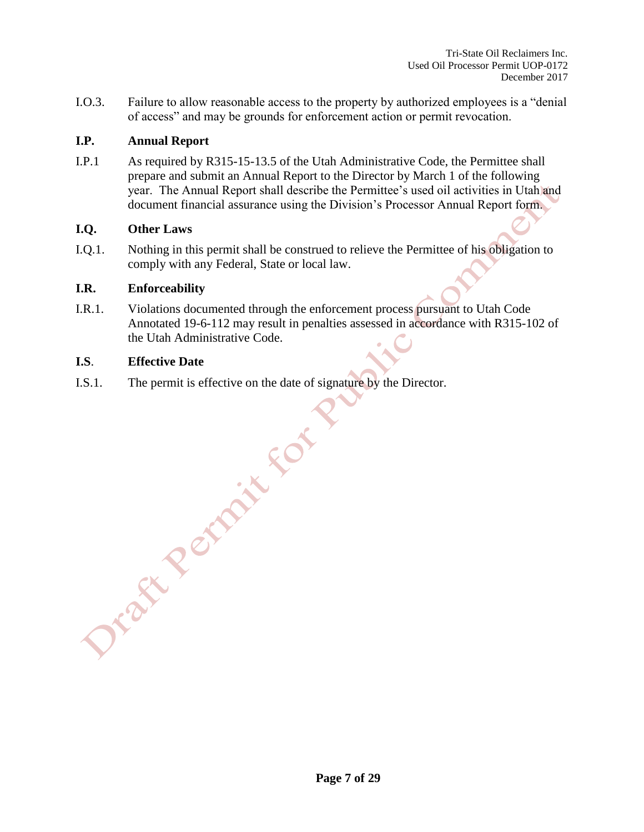Tri-State Oil Reclaimers Inc. Used Oil Processor Permit UOP-0172 December 2017

I.O.3. Failure to allow reasonable access to the property by authorized employees is a "denial of access" and may be grounds for enforcement action or permit revocation.

#### **I.P. Annual Report**

I.P.1 As required by R315-15-13.5 of the Utah Administrative Code, the Permittee shall prepare and submit an Annual Report to the Director by March 1 of the following year. The Annual Report shall describe the Permittee's used oil activities in Utah and document financial assurance using the Division's Processor Annual Report form.

#### **I.Q. Other Laws**

I.Q.1. Nothing in this permit shall be construed to relieve the Permittee of his obligation to comply with any Federal, State or local law.

#### **I.R. Enforceability**

I.R.1. Violations documented through the enforcement process pursuant to Utah Code Annotated 19-6-112 may result in penalties assessed in accordance with R315-102 of the Utah Administrative Code.

#### **I.S**. **Effective Date**

I.S.1. The permit is effective on the date of signature by the Director.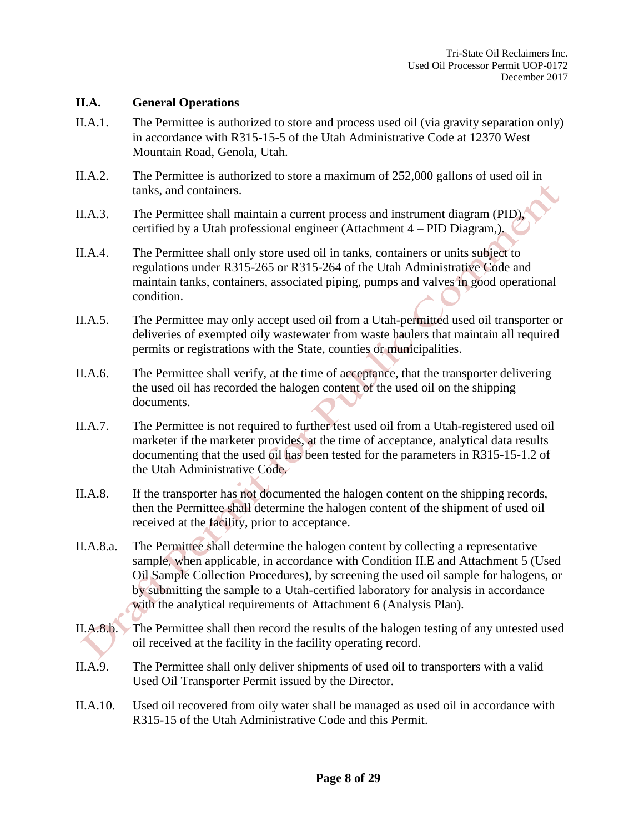#### **II.A. General Operations**

- II.A.1. The Permittee is authorized to store and process used oil (via gravity separation only) in accordance with R315-15-5 of the Utah Administrative Code at 12370 West Mountain Road, Genola, Utah.
- II.A.2. The Permittee is authorized to store a maximum of 252,000 gallons of used oil in tanks, and containers.
- II.A.3. The Permittee shall maintain a current process and instrument diagram (PID), certified by a Utah professional engineer (Attachment 4 – PID Diagram,).
- II.A.4. The Permittee shall only store used oil in tanks, containers or units subject to regulations under R315-265 or R315-264 of the Utah Administrative Code and maintain tanks, containers, associated piping, pumps and valves in good operational condition.
- II.A.5. The Permittee may only accept used oil from a Utah-permitted used oil transporter or deliveries of exempted oily wastewater from waste haulers that maintain all required permits or registrations with the State, counties or municipalities.
- II.A.6. The Permittee shall verify, at the time of acceptance, that the transporter delivering the used oil has recorded the halogen content of the used oil on the shipping documents.
- II.A.7. The Permittee is not required to further test used oil from a Utah-registered used oil marketer if the marketer provides, at the time of acceptance, analytical data results documenting that the used oil has been tested for the parameters in R315-15-1.2 of the Utah Administrative Code.
- II.A.8. If the transporter has not documented the halogen content on the shipping records, then the Permittee shall determine the halogen content of the shipment of used oil received at the facility, prior to acceptance.
- II.A.8.a. The Permittee shall determine the halogen content by collecting a representative sample, when applicable, in accordance with Condition II.E and Attachment 5 (Used Oil Sample Collection Procedures), by screening the used oil sample for halogens, or by submitting the sample to a Utah-certified laboratory for analysis in accordance with the analytical requirements of Attachment 6 (Analysis Plan).
- II.A.8.b. The Permittee shall then record the results of the halogen testing of any untested used oil received at the facility in the facility operating record.
- II.A.9. The Permittee shall only deliver shipments of used oil to transporters with a valid Used Oil Transporter Permit issued by the Director.
- II.A.10. Used oil recovered from oily water shall be managed as used oil in accordance with R315-15 of the Utah Administrative Code and this Permit.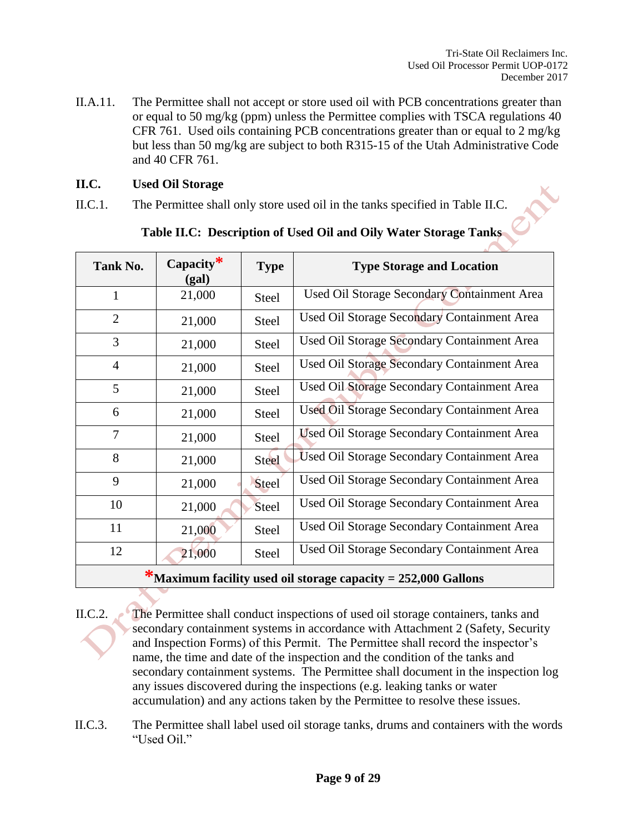II.A.11. The Permittee shall not accept or store used oil with PCB concentrations greater than or equal to 50 mg/kg (ppm) unless the Permittee complies with TSCA regulations 40 CFR 761. Used oils containing PCB concentrations greater than or equal to 2 mg/kg but less than 50 mg/kg are subject to both R315-15 of the Utah Administrative Code and 40 CFR 761.

#### **II.C. Used Oil Storage**

II.C.1. The Permittee shall only store used oil in the tanks specified in Table II.C.

| Tank No.       | Capacity $*$<br>(gal) | <b>Type</b>  | <b>Type Storage and Location</b>                   |
|----------------|-----------------------|--------------|----------------------------------------------------|
| $\mathbf{1}$   | 21,000                | <b>Steel</b> | Used Oil Storage Secondary Containment Area        |
| $\overline{2}$ | 21,000                | <b>Steel</b> | Used Oil Storage Secondary Containment Area        |
| 3              | 21,000                | <b>Steel</b> | Used Oil Storage Secondary Containment Area        |
| $\overline{4}$ | 21,000                | <b>Steel</b> | Used Oil Storage Secondary Containment Area        |
| 5              | 21,000                | <b>Steel</b> | Used Oil Storage Secondary Containment Area        |
| 6              | 21,000                | <b>Steel</b> | Used Oil Storage Secondary Containment Area        |
| $\tau$         | 21,000                | <b>Steel</b> | <b>Used Oil Storage Secondary Containment Area</b> |
| 8              | 21,000                | <b>Steel</b> | Used Oil Storage Secondary Containment Area        |
| 9              | 21,000                | <b>Steel</b> | Used Oil Storage Secondary Containment Area        |
| 10             | 21,000                | <b>Steel</b> | Used Oil Storage Secondary Containment Area        |
| 11             | 21,000                | <b>Steel</b> | Used Oil Storage Secondary Containment Area        |
| 12             | 21,000                | <b>Steel</b> | Used Oil Storage Secondary Containment Area        |
| ÷              |                       |              |                                                    |

**Table II.C: Description of Used Oil and Oily Water Storage Tanks**

**\*Maximum facility used oil storage capacity = 252,000 Gallons**

II.C.2. The Permittee shall conduct inspections of used oil storage containers, tanks and secondary containment systems in accordance with Attachment 2 (Safety, Security and Inspection Forms) of this Permit. The Permittee shall record the inspector's name, the time and date of the inspection and the condition of the tanks and secondary containment systems. The Permittee shall document in the inspection log any issues discovered during the inspections (e.g. leaking tanks or water accumulation) and any actions taken by the Permittee to resolve these issues.

II.C.3. The Permittee shall label used oil storage tanks, drums and containers with the words "Used Oil."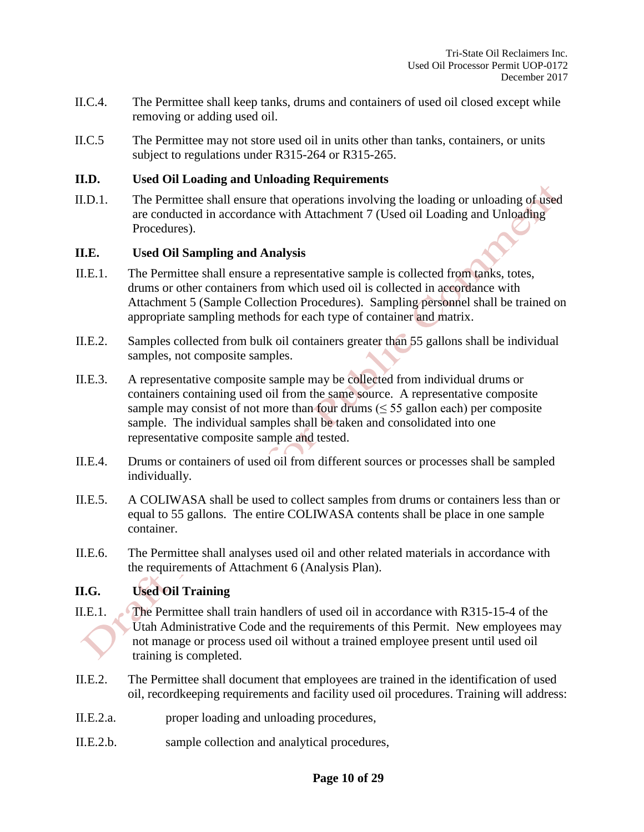- II.C.4. The Permittee shall keep tanks, drums and containers of used oil closed except while removing or adding used oil.
- II.C.5 The Permittee may not store used oil in units other than tanks, containers, or units subject to regulations under R315-264 or R315-265.

#### **II.D. Used Oil Loading and Unloading Requirements**

II.D.1. The Permittee shall ensure that operations involving the loading or unloading of used are conducted in accordance with Attachment 7 (Used oil Loading and Unloading Procedures).

#### **II.E. Used Oil Sampling and Analysis**

- II.E.1. The Permittee shall ensure a representative sample is collected from tanks, totes, drums or other containers from which used oil is collected in accordance with Attachment 5 (Sample Collection Procedures). Sampling personnel shall be trained on appropriate sampling methods for each type of container and matrix.
- II.E.2. Samples collected from bulk oil containers greater than 55 gallons shall be individual samples, not composite samples.
- II.E.3. A representative composite sample may be collected from individual drums or containers containing used oil from the same source. A representative composite sample may consist of not more than four drums  $(\leq 55$  gallon each) per composite sample. The individual samples shall be taken and consolidated into one representative composite sample and tested.
- II.E.4. Drums or containers of used oil from different sources or processes shall be sampled individually.
- II.E.5. A COLIWASA shall be used to collect samples from drums or containers less than or equal to 55 gallons. The entire COLIWASA contents shall be place in one sample container.
- II.E.6. The Permittee shall analyses used oil and other related materials in accordance with the requirements of Attachment 6 (Analysis Plan).

## **II.G. Used Oil Training**

- II.E.1. The Permittee shall train handlers of used oil in accordance with R315-15-4 of the Utah Administrative Code and the requirements of this Permit. New employees may not manage or process used oil without a trained employee present until used oil training is completed.
- II.E.2. The Permittee shall document that employees are trained in the identification of used oil, recordkeeping requirements and facility used oil procedures. Training will address:
- II.E.2.a. proper loading and unloading procedures,
- II.E.2.b. sample collection and analytical procedures,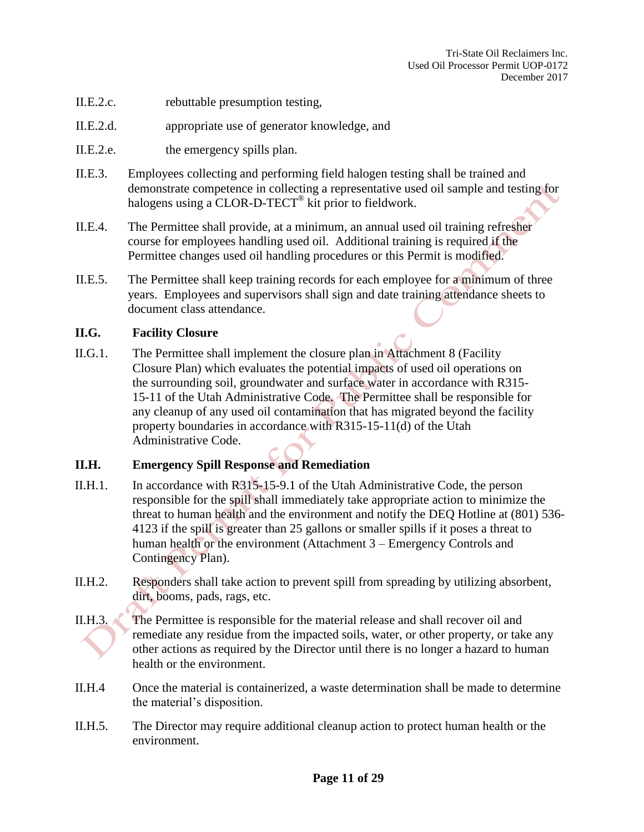- II.E.2.c. rebuttable presumption testing,
- II.E.2.d. appropriate use of generator knowledge, and
- II.E.2.e. the emergency spills plan.
- II.E.3. Employees collecting and performing field halogen testing shall be trained and demonstrate competence in collecting a representative used oil sample and testing for halogens using a CLOR-D-TECT<sup>®</sup> kit prior to fieldwork.
- II.E.4. The Permittee shall provide, at a minimum, an annual used oil training refresher course for employees handling used oil. Additional training is required if the Permittee changes used oil handling procedures or this Permit is modified.
- II.E.5. The Permittee shall keep training records for each employee for a minimum of three years. Employees and supervisors shall sign and date training attendance sheets to document class attendance.

#### **II.G. Facility Closure**

II.G.1. The Permittee shall implement the closure plan in Attachment 8 (Facility Closure Plan) which evaluates the potential impacts of used oil operations on the surrounding soil, groundwater and surface water in accordance with R315- 15-11 of the Utah Administrative Code. The Permittee shall be responsible for any cleanup of any used oil contamination that has migrated beyond the facility property boundaries in accordance with R315-15-11(d) of the Utah Administrative Code.

#### **II.H. Emergency Spill Response and Remediation**

- II.H.1. In accordance with R315-15-9.1 of the Utah Administrative Code, the person responsible for the spill shall immediately take appropriate action to minimize the threat to human health and the environment and notify the DEQ Hotline at (801) 536- 4123 if the spill is greater than 25 gallons or smaller spills if it poses a threat to human health or the environment (Attachment 3 – Emergency Controls and Contingency Plan).
- II.H.2. Responders shall take action to prevent spill from spreading by utilizing absorbent, dirt, booms, pads, rags, etc.
- II.H.3. The Permittee is responsible for the material release and shall recover oil and remediate any residue from the impacted soils, water, or other property, or take any other actions as required by the Director until there is no longer a hazard to human health or the environment.
- II.H.4 Once the material is containerized, a waste determination shall be made to determine the material's disposition.
- II.H.5. The Director may require additional cleanup action to protect human health or the environment.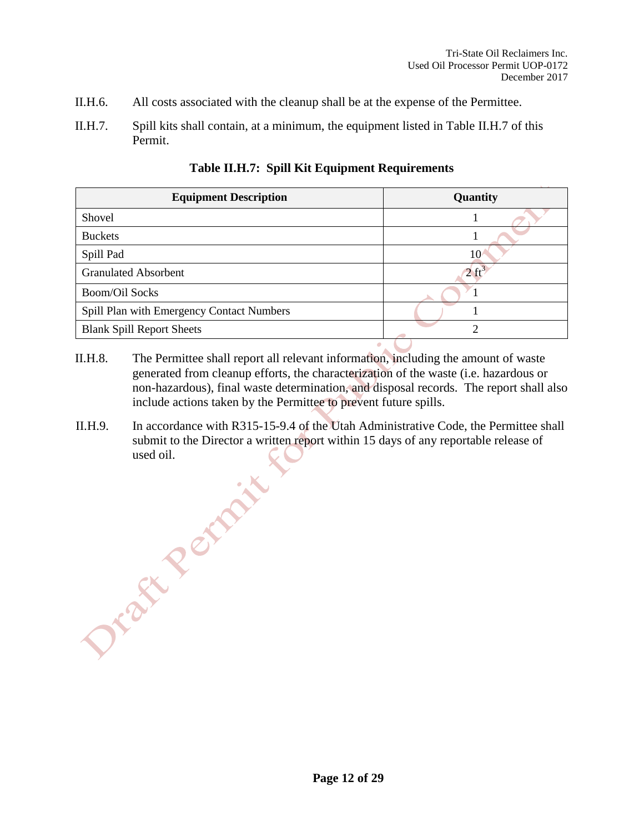- II.H.6. All costs associated with the cleanup shall be at the expense of the Permittee.
- II.H.7. Spill kits shall contain, at a minimum, the equipment listed in Table II.H.7 of this Permit.

| <b>Equipment Description</b>              | Quantity |  |  |
|-------------------------------------------|----------|--|--|
| Shovel                                    |          |  |  |
| <b>Buckets</b>                            |          |  |  |
| Spill Pad                                 | 10       |  |  |
| <b>Granulated Absorbent</b>               |          |  |  |
| <b>Boom/Oil Socks</b>                     |          |  |  |
| Spill Plan with Emergency Contact Numbers |          |  |  |
| <b>Blank Spill Report Sheets</b>          | ↑        |  |  |

#### **Table II.H.7: Spill Kit Equipment Requirements**

- II.H.8. The Permittee shall report all relevant information, including the amount of waste generated from cleanup efforts, the characterization of the waste (i.e. hazardous or non-hazardous), final waste determination, and disposal records. The report shall also include actions taken by the Permittee to prevent future spills.
- II.H.9. In accordance with R315-15-9.4 of the Utah Administrative Code, the Permittee shall submit to the Director a written report within 15 days of any reportable release of used oil.<br>Dr. 2nd XX<br>Dr. 2nd XX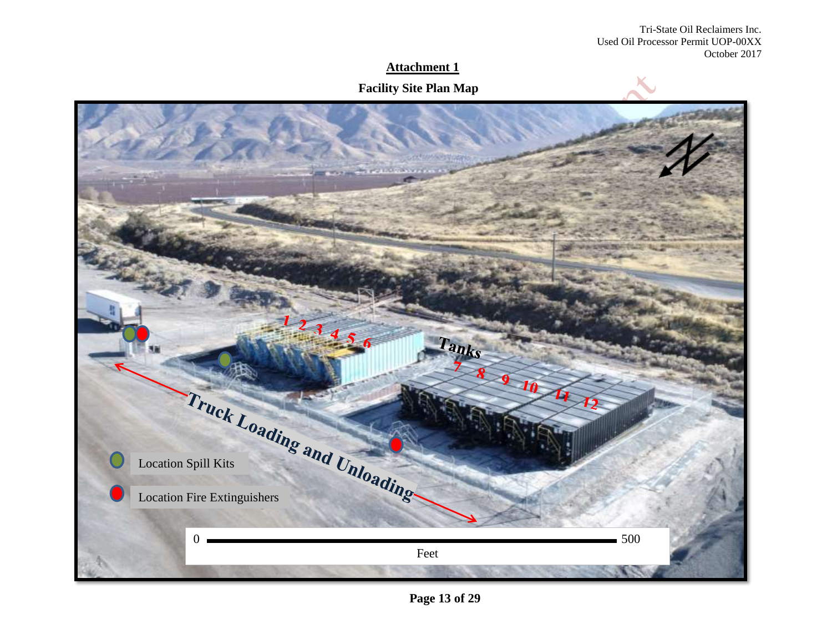Tri-State Oil Reclaimers Inc. Used Oil Processor Permit UOP-00XX October 2017

## **Attachment 1**

#### **Facility Site Plan Map**



**Page 13 of 29**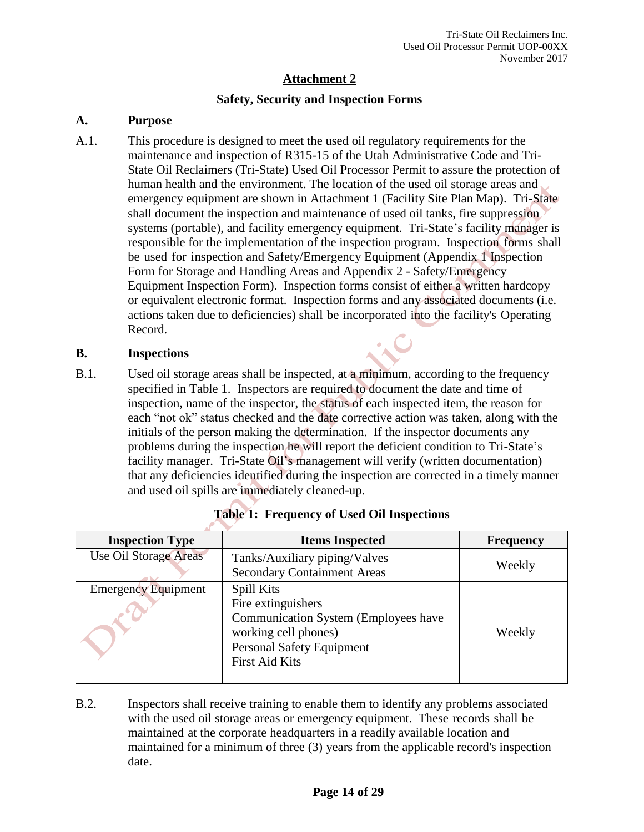#### **Safety, Security and Inspection Forms**

#### **A. Purpose**

A.1. This procedure is designed to meet the used oil regulatory requirements for the maintenance and inspection of R315-15 of the Utah Administrative Code and Tri-State Oil Reclaimers (Tri-State) Used Oil Processor Permit to assure the protection of human health and the environment. The location of the used oil storage areas and emergency equipment are shown in Attachment 1 (Facility Site Plan Map). Tri-State shall document the inspection and maintenance of used oil tanks, fire suppression systems (portable), and facility emergency equipment. Tri-State's facility manager is responsible for the implementation of the inspection program. Inspection forms shall be used for inspection and Safety/Emergency Equipment (Appendix 1 Inspection Form for Storage and Handling Areas and Appendix 2 - Safety/Emergency Equipment Inspection Form). Inspection forms consist of either a written hardcopy or equivalent electronic format. Inspection forms and any associated documents (i.e. actions taken due to deficiencies) shall be incorporated into the facility's Operating Record.

#### **B. Inspections**

B.1. Used oil storage areas shall be inspected, at a minimum, according to the frequency specified in Table 1. Inspectors are required to document the date and time of inspection, name of the inspector, the status of each inspected item, the reason for each "not ok" status checked and the date corrective action was taken, along with the initials of the person making the determination. If the inspector documents any problems during the inspection he will report the deficient condition to Tri-State's facility manager. Tri-State Oil's management will verify (written documentation) that any deficiencies identified during the inspection are corrected in a timely manner and used oil spills are immediately cleaned-up.

| <b>Inspection Type</b>       | <b>Items Inspected</b>                                                                                                                                        | <b>Frequency</b> |
|------------------------------|---------------------------------------------------------------------------------------------------------------------------------------------------------------|------------------|
| <b>Use Oil Storage Areas</b> | Tanks/Auxiliary piping/Valves<br><b>Secondary Containment Areas</b>                                                                                           | Weekly           |
| <b>Emergency Equipment</b>   | Spill Kits<br>Fire extinguishers<br>Communication System (Employees have<br>working cell phones)<br><b>Personal Safety Equipment</b><br><b>First Aid Kits</b> | Weekly           |

|  |  | <b>Table 1: Frequency of Used Oil Inspections</b> |  |  |  |
|--|--|---------------------------------------------------|--|--|--|
|  |  |                                                   |  |  |  |
|  |  |                                                   |  |  |  |

B.2. Inspectors shall receive training to enable them to identify any problems associated with the used oil storage areas or emergency equipment. These records shall be maintained at the corporate headquarters in a readily available location and maintained for a minimum of three (3) years from the applicable record's inspection date.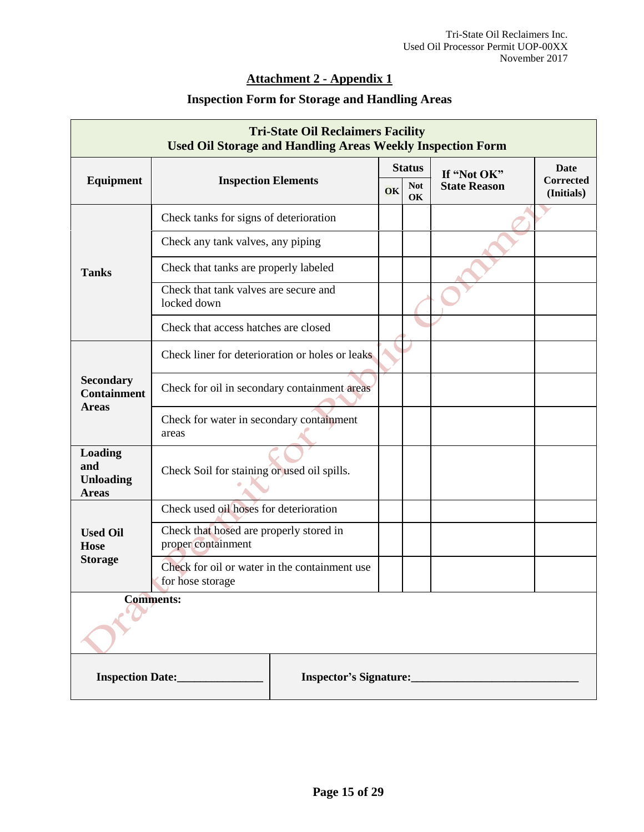## **Attachment 2 - Appendix 1**

## **Inspection Form for Storage and Handling Areas**

| <b>Tri-State Oil Reclaimers Facility</b><br><b>Used Oil Storage and Handling Areas Weekly Inspection Form</b> |                                                               |               |                        |             |                     |                                |
|---------------------------------------------------------------------------------------------------------------|---------------------------------------------------------------|---------------|------------------------|-------------|---------------------|--------------------------------|
|                                                                                                               |                                                               | <b>Status</b> |                        | If "Not OK" | Date                |                                |
| <b>Equipment</b>                                                                                              | <b>Inspection Elements</b>                                    |               | <b>Not</b><br>OK<br>OK |             | <b>State Reason</b> | <b>Corrected</b><br>(Initials) |
|                                                                                                               | Check tanks for signs of deterioration                        |               |                        |             |                     |                                |
|                                                                                                               | Check any tank valves, any piping                             |               |                        |             |                     |                                |
| <b>Tanks</b>                                                                                                  | Check that tanks are properly labeled                         |               |                        |             |                     |                                |
|                                                                                                               | Check that tank valves are secure and<br>locked down          |               |                        |             |                     |                                |
|                                                                                                               | Check that access hatches are closed                          |               |                        |             |                     |                                |
|                                                                                                               | Check liner for deterioration or holes or leaks               |               |                        |             |                     |                                |
| <b>Secondary</b><br><b>Containment</b><br><b>Areas</b>                                                        | Check for oil in secondary containment areas                  |               |                        |             |                     |                                |
|                                                                                                               | Check for water in secondary containment<br>areas             |               |                        |             |                     |                                |
| Loading<br>and<br><b>Unloading</b><br><b>Areas</b>                                                            | Check Soil for staining or used oil spills.                   |               |                        |             |                     |                                |
|                                                                                                               | Check used oil hoses for deterioration                        |               |                        |             |                     |                                |
| <b>Used Oil</b><br><b>Hose</b>                                                                                | Check that hosed are properly stored in<br>proper containment |               |                        |             |                     |                                |
| <b>Storage</b><br>Check for oil or water in the containment use<br>for hose storage                           |                                                               |               |                        |             |                     |                                |
| <b>Comments:</b>                                                                                              |                                                               |               |                        |             |                     |                                |
|                                                                                                               | <b>Inspection Date:</b><br>Inspector's Signature:             |               |                        |             |                     |                                |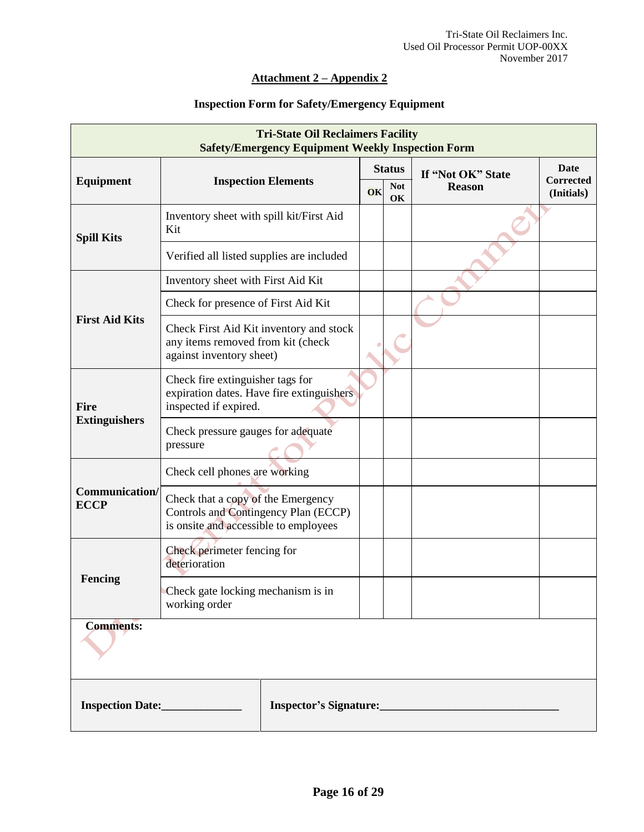#### **Attachment 2 – Appendix 2**

#### **Inspection Form for Safety/Emergency Equipment**

| <b>Tri-State Oil Reclaimers Facility</b><br><b>Safety/Emergency Equipment Weekly Inspection Form</b> |                                                                                                                     |               |    |                   |               |                                |
|------------------------------------------------------------------------------------------------------|---------------------------------------------------------------------------------------------------------------------|---------------|----|-------------------|---------------|--------------------------------|
|                                                                                                      |                                                                                                                     | <b>Status</b> |    | If "Not OK" State | Date          |                                |
| Equipment                                                                                            | <b>Inspection Elements</b>                                                                                          |               | OK | <b>Not</b><br>OK  | <b>Reason</b> | <b>Corrected</b><br>(Initials) |
| <b>Spill Kits</b>                                                                                    | Inventory sheet with spill kit/First Aid<br>Kit                                                                     |               |    |                   |               |                                |
|                                                                                                      | Verified all listed supplies are included                                                                           |               |    |                   |               |                                |
|                                                                                                      | Inventory sheet with First Aid Kit                                                                                  |               |    |                   |               |                                |
|                                                                                                      | Check for presence of First Aid Kit                                                                                 |               |    |                   |               |                                |
| <b>First Aid Kits</b>                                                                                | Check First Aid Kit inventory and stock<br>any items removed from kit (check<br>against inventory sheet)            |               |    |                   |               |                                |
| <b>Fire</b>                                                                                          | Check fire extinguisher tags for<br>expiration dates. Have fire extinguishers<br>inspected if expired.              |               |    |                   |               |                                |
| <b>Extinguishers</b>                                                                                 | Check pressure gauges for adequate<br>pressure                                                                      |               |    |                   |               |                                |
|                                                                                                      | Check cell phones are working                                                                                       |               |    |                   |               |                                |
| Communication/<br><b>ECCP</b>                                                                        | Check that a copy of the Emergency<br>Controls and Contingency Plan (ECCP)<br>is onsite and accessible to employees |               |    |                   |               |                                |
|                                                                                                      | Check perimeter fencing for<br>deterioration                                                                        |               |    |                   |               |                                |
| Fencing                                                                                              | Check gate locking mechanism is in<br>working order                                                                 |               |    |                   |               |                                |
| <b>Comments:</b>                                                                                     |                                                                                                                     |               |    |                   |               |                                |
| Inspection Date:_______________<br>Inspector's Signature:                                            |                                                                                                                     |               |    |                   |               |                                |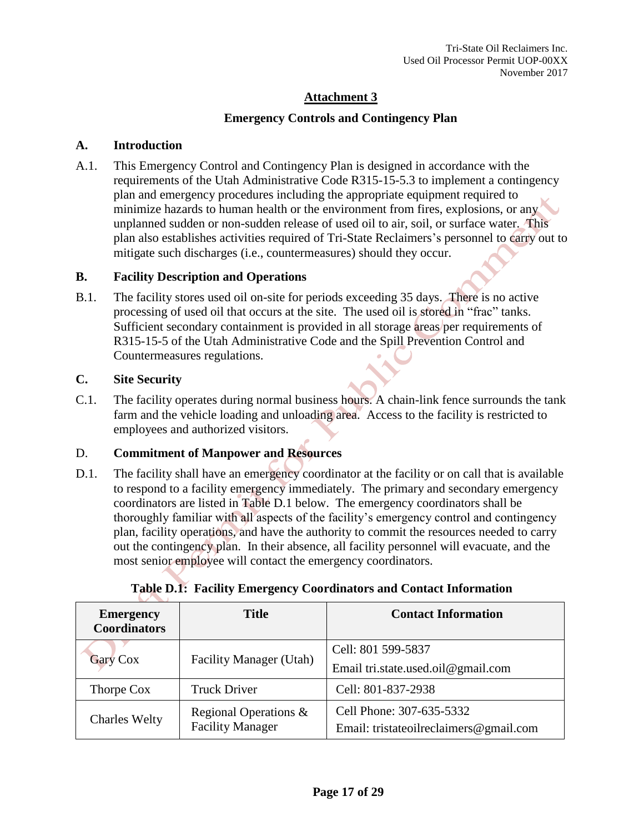#### **Emergency Controls and Contingency Plan**

#### **A. Introduction**

A.1. This Emergency Control and Contingency Plan is designed in accordance with the requirements of the Utah Administrative Code R315-15-5.3 to implement a contingency plan and emergency procedures including the appropriate equipment required to minimize hazards to human health or the environment from fires, explosions, or any unplanned sudden or non-sudden release of used oil to air, soil, or surface water. This plan also establishes activities required of Tri-State Reclaimers's personnel to carry out to mitigate such discharges (i.e., countermeasures) should they occur.

#### **B. Facility Description and Operations**

B.1. The facility stores used oil on-site for periods exceeding 35 days. There is no active processing of used oil that occurs at the site. The used oil is stored in "frac" tanks. Sufficient secondary containment is provided in all storage areas per requirements of R315-15-5 of the Utah Administrative Code and the Spill Prevention Control and Countermeasures regulations.

#### **C. Site Security**

C.1. The facility operates during normal business hours. A chain-link fence surrounds the tank farm and the vehicle loading and unloading area. Access to the facility is restricted to employees and authorized visitors.

#### D. **Commitment of Manpower and Resources**

D.1. The facility shall have an emergency coordinator at the facility or on call that is available to respond to a facility emergency immediately. The primary and secondary emergency coordinators are listed in Table D.1 below. The emergency coordinators shall be thoroughly familiar with all aspects of the facility's emergency control and contingency plan, facility operations, and have the authority to commit the resources needed to carry out the contingency plan. In their absence, all facility personnel will evacuate, and the most senior employee will contact the emergency coordinators.

| <b>Title</b><br><b>Emergency</b><br><b>Coordinators</b> |                         | <b>Contact Information</b>             |  |  |
|---------------------------------------------------------|-------------------------|----------------------------------------|--|--|
|                                                         | Facility Manager (Utah) | Cell: 801 599-5837                     |  |  |
| <b>Gary Cox</b>                                         |                         | Email tri.state.used.oil@gmail.com     |  |  |
| Thorpe Cox                                              | <b>Truck Driver</b>     | Cell: 801-837-2938                     |  |  |
| <b>Charles Welty</b>                                    | Regional Operations &   | Cell Phone: 307-635-5332               |  |  |
|                                                         | <b>Facility Manager</b> | Email: tristateoilreclaimers@gmail.com |  |  |

## **Table D.1: Facility Emergency Coordinators and Contact Information**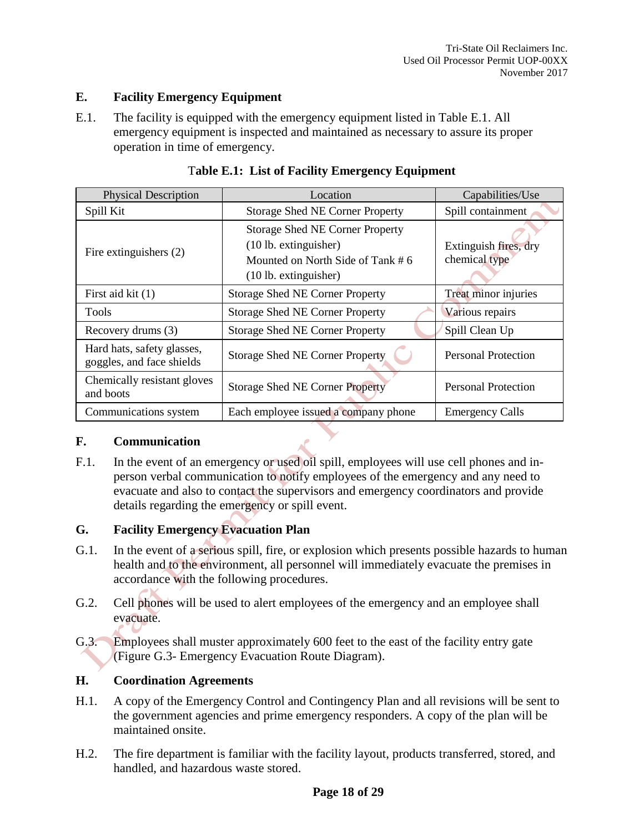#### **E. Facility Emergency Equipment**

E.1. The facility is equipped with the emergency equipment listed in Table E.1. All emergency equipment is inspected and maintained as necessary to assure its proper operation in time of emergency.

| <b>Physical Description</b>                             | Location                                                                                                                          | Capabilities/Use                       |  |
|---------------------------------------------------------|-----------------------------------------------------------------------------------------------------------------------------------|----------------------------------------|--|
| Spill Kit                                               | <b>Storage Shed NE Corner Property</b>                                                                                            | Spill containment                      |  |
| Fire extinguishers (2)                                  | <b>Storage Shed NE Corner Property</b><br>$(10$ lb. extinguisher)<br>Mounted on North Side of Tank # 6<br>$(10$ lb. extinguisher) | Extinguish fires, dry<br>chemical type |  |
| First aid kit (1)                                       | <b>Storage Shed NE Corner Property</b>                                                                                            | Treat minor injuries                   |  |
| <b>Tools</b>                                            | <b>Storage Shed NE Corner Property</b>                                                                                            | Various repairs                        |  |
| Recovery drums (3)                                      | <b>Storage Shed NE Corner Property</b>                                                                                            | Spill Clean Up                         |  |
| Hard hats, safety glasses,<br>goggles, and face shields | <b>Storage Shed NE Corner Property</b>                                                                                            | <b>Personal Protection</b>             |  |
| Chemically resistant gloves<br>and boots                | <b>Storage Shed NE Corner Property</b>                                                                                            | <b>Personal Protection</b>             |  |
| Communications system                                   | Each employee issued a company phone                                                                                              | <b>Emergency Calls</b>                 |  |

#### T**able E.1: List of Facility Emergency Equipment**

#### **F. Communication**

F.1. In the event of an emergency or used oil spill, employees will use cell phones and inperson verbal communication to notify employees of the emergency and any need to evacuate and also to contact the supervisors and emergency coordinators and provide details regarding the emergency or spill event.

#### **G. Facility Emergency Evacuation Plan**

- G.1. In the event of a serious spill, fire, or explosion which presents possible hazards to human health and to the environment, all personnel will immediately evacuate the premises in accordance with the following procedures.
- G.2. Cell phones will be used to alert employees of the emergency and an employee shall evacuate.
- G.3. Employees shall muster approximately 600 feet to the east of the facility entry gate (Figure G.3- Emergency Evacuation Route Diagram).

#### **H. Coordination Agreements**

- H.1. A copy of the Emergency Control and Contingency Plan and all revisions will be sent to the government agencies and prime emergency responders. A copy of the plan will be maintained onsite.
- H.2. The fire department is familiar with the facility layout, products transferred, stored, and handled, and hazardous waste stored.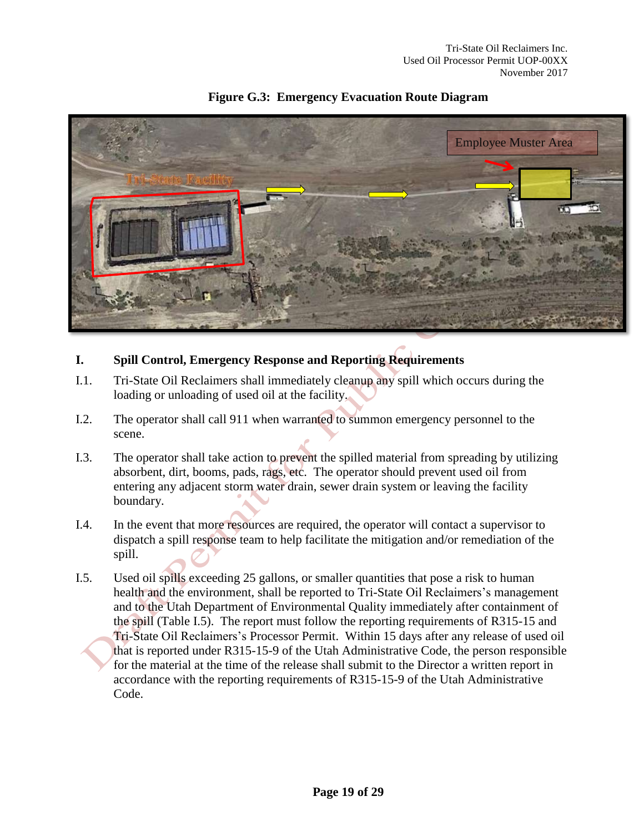

## **Figure G.3: Emergency Evacuation Route Diagram**

## **I. Spill Control, Emergency Response and Reporting Requirements**

- I.1. Tri-State Oil Reclaimers shall immediately cleanup any spill which occurs during the loading or unloading of used oil at the facility.
- I.2. The operator shall call 911 when warranted to summon emergency personnel to the scene.
- I.3. The operator shall take action to prevent the spilled material from spreading by utilizing absorbent, dirt, booms, pads, rags, etc. The operator should prevent used oil from entering any adjacent storm water drain, sewer drain system or leaving the facility boundary.
- I.4. In the event that more resources are required, the operator will contact a supervisor to dispatch a spill response team to help facilitate the mitigation and/or remediation of the spill.
- I.5. Used oil spills exceeding 25 gallons, or smaller quantities that pose a risk to human health and the environment, shall be reported to Tri-State Oil Reclaimers's management and to the Utah Department of Environmental Quality immediately after containment of the spill (Table I.5). The report must follow the reporting requirements of R315-15 and Tri-State Oil Reclaimers's Processor Permit. Within 15 days after any release of used oil that is reported under R315-15-9 of the Utah Administrative Code, the person responsible for the material at the time of the release shall submit to the Director a written report in accordance with the reporting requirements of R315-15-9 of the Utah Administrative Code.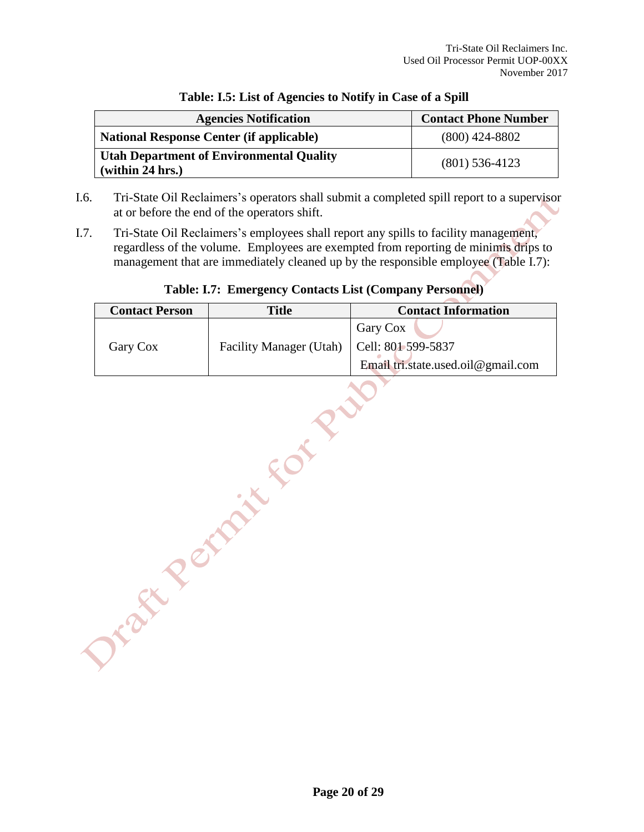| <b>Agencies Notification</b>                                        | <b>Contact Phone Number</b> |
|---------------------------------------------------------------------|-----------------------------|
| <b>National Response Center (if applicable)</b>                     | $(800)$ 424-8802            |
| <b>Utah Department of Environmental Quality</b><br>(within 24 hrs.) | $(801)$ 536-4123            |

#### **Table: I.5: List of Agencies to Notify in Case of a Spill**

- I.6. Tri-State Oil Reclaimers's operators shall submit a completed spill report to a supervisor at or before the end of the operators shift.
- I.7. Tri-State Oil Reclaimers's employees shall report any spills to facility management, regardless of the volume. Employees are exempted from reporting de minimis drips to management that are immediately cleaned up by the responsible employee (Table I.7):

## **Contact Person Title Contact Information** Gary Cox Cell: 801 599-5837 Email tri.state.used.oil@gmail.com

## **Table: I.7: Emergency Contacts List (Company Personnel)**

Gary Cox Facility Manager (Utah)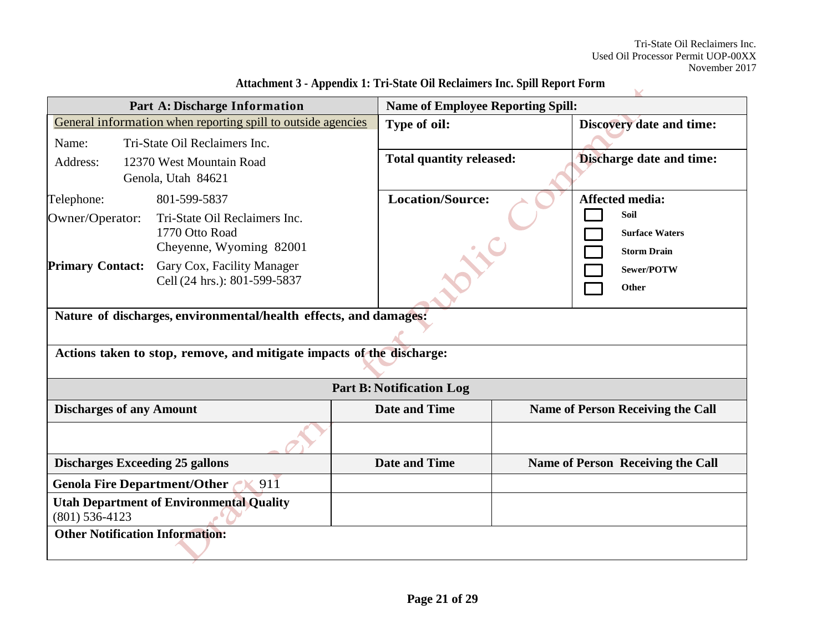| Auacument o • Appendix 1, 111-State On Keclanifers Inc. Spin Kepol t Portu |                                                                       |                                 |                                          |  |  |
|----------------------------------------------------------------------------|-----------------------------------------------------------------------|---------------------------------|------------------------------------------|--|--|
|                                                                            | Part A: Discharge Information                                         |                                 | <b>Name of Employee Reporting Spill:</b> |  |  |
|                                                                            | General information when reporting spill to outside agencies          | Type of oil:                    | Discovery date and time:                 |  |  |
| Name:                                                                      | Tri-State Oil Reclaimers Inc.                                         |                                 |                                          |  |  |
| Address:                                                                   | 12370 West Mountain Road                                              | <b>Total quantity released:</b> | <b>Discharge date and time:</b>          |  |  |
|                                                                            | Genola, Utah 84621                                                    |                                 |                                          |  |  |
| Telephone:                                                                 | 801-599-5837                                                          | <b>Location/Source:</b>         | <b>Affected media:</b>                   |  |  |
| Owner/Operator:                                                            | Tri-State Oil Reclaimers Inc.                                         |                                 | Soil                                     |  |  |
|                                                                            | 1770 Otto Road                                                        |                                 | <b>Surface Waters</b>                    |  |  |
|                                                                            | Cheyenne, Wyoming 82001                                               |                                 | <b>Storm Drain</b>                       |  |  |
| <b>Primary Contact:</b>                                                    | Gary Cox, Facility Manager                                            |                                 | Sewer/POTW                               |  |  |
|                                                                            | Cell (24 hrs.): 801-599-5837                                          |                                 | Other                                    |  |  |
|                                                                            | Nature of discharges, environmental/health effects, and damages:      |                                 |                                          |  |  |
|                                                                            |                                                                       |                                 |                                          |  |  |
|                                                                            | Actions taken to stop, remove, and mitigate impacts of the discharge: |                                 |                                          |  |  |
|                                                                            |                                                                       | <b>Part B: Notification Log</b> |                                          |  |  |
| <b>Discharges of any Amount</b>                                            |                                                                       | <b>Date and Time</b>            | <b>Name of Person Receiving the Call</b> |  |  |
|                                                                            |                                                                       |                                 |                                          |  |  |
| <b>Discharges Exceeding 25 gallons</b>                                     |                                                                       | <b>Date and Time</b>            | <b>Name of Person Receiving the Call</b> |  |  |
| <b>Genola Fire Department/Other</b>                                        | 911                                                                   |                                 |                                          |  |  |
|                                                                            | <b>Utah Department of Environmental Quality</b>                       |                                 |                                          |  |  |
| $(801)$ 536-4123                                                           |                                                                       |                                 |                                          |  |  |
| <b>Other Notification Information:</b>                                     |                                                                       |                                 |                                          |  |  |
|                                                                            |                                                                       |                                 |                                          |  |  |

**Attachment 3 - Appendix 1: Tri-State Oil Reclaimers Inc. Spill Report Form**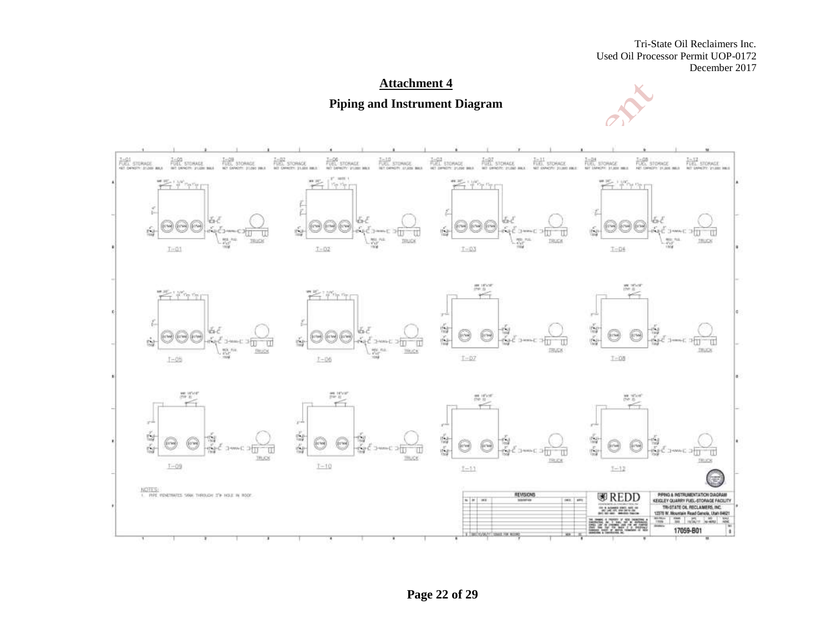Tri-State Oil Reclaimers Inc. Used Oil Processor Permit UOP-0172 December 2017

## **Attachment 4 Piping and Instrument Diagram**



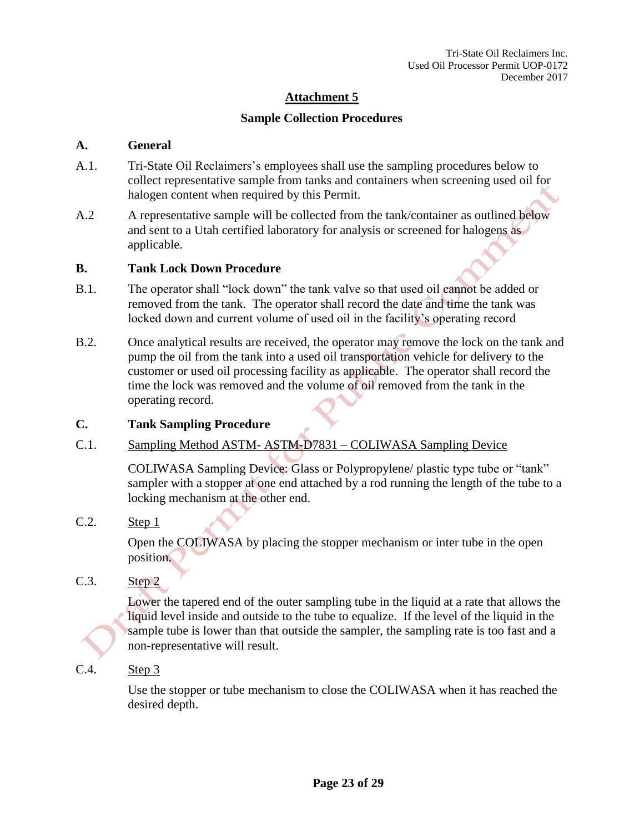## **Sample Collection Procedures**

#### **A. General**

- A.1. Tri-State Oil Reclaimers's employees shall use the sampling procedures below to collect representative sample from tanks and containers when screening used oil for halogen content when required by this Permit.
- A.2 A representative sample will be collected from the tank/container as outlined below and sent to a Utah certified laboratory for analysis or screened for halogens as applicable.

#### **B. Tank Lock Down Procedure**

- B.1. The operator shall "lock down" the tank valve so that used oil cannot be added or removed from the tank. The operator shall record the date and time the tank was locked down and current volume of used oil in the facility's operating record
- B.2. Once analytical results are received, the operator may remove the lock on the tank and pump the oil from the tank into a used oil transportation vehicle for delivery to the customer or used oil processing facility as applicable. The operator shall record the time the lock was removed and the volume of oil removed from the tank in the operating record.

#### **C. Tank Sampling Procedure**

#### C.1. Sampling Method ASTM- ASTM-D7831 – COLIWASA Sampling Device

COLIWASA Sampling Device: Glass or Polypropylene/ plastic type tube or "tank" sampler with a stopper at one end attached by a rod running the length of the tube to a locking mechanism at the other end.

#### C.2. Step 1

Open the COLIWASA by placing the stopper mechanism or inter tube in the open position.

C.3. Step 2

Lower the tapered end of the outer sampling tube in the liquid at a rate that allows the liquid level inside and outside to the tube to equalize. If the level of the liquid in the sample tube is lower than that outside the sampler, the sampling rate is too fast and a non-representative will result.

C.4. Step 3

Use the stopper or tube mechanism to close the COLIWASA when it has reached the desired depth.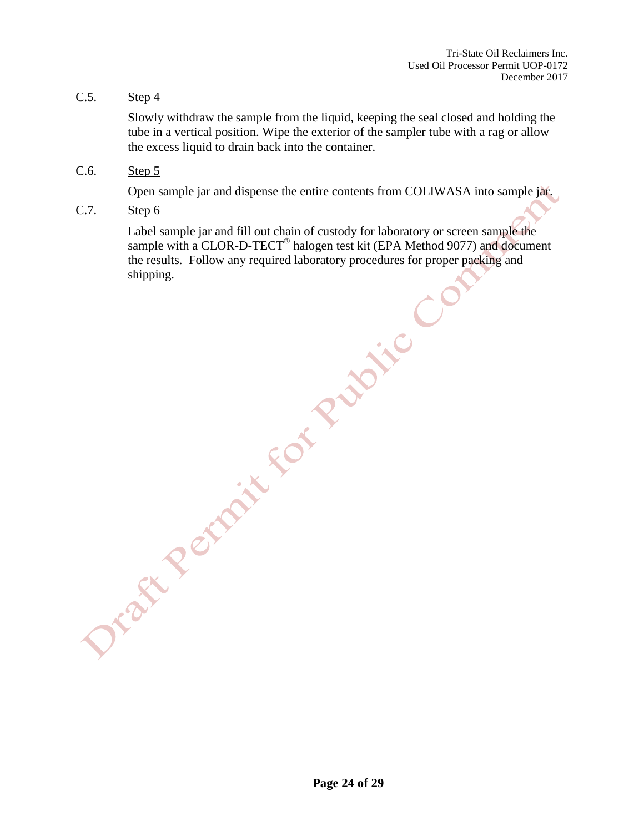C.5. Step  $4$ 

Slowly withdraw the sample from the liquid, keeping the seal closed and holding the tube in a vertical position. Wipe the exterior of the sampler tube with a rag or allow the excess liquid to drain back into the container.

C.6. Step 5

Open sample jar and dispense the entire contents from COLIWASA into sample jar.

C.7. Step 6

Label sample jar and fill out chain of custody for laboratory or screen sample the sample with a CLOR-D-TECT<sup>®</sup> sample with a CLOR-D-TECT<sup>®</sup> halogen test kit (EPA Method 9077) and document the results. Follow any required laboratory procedures for proper packing and shipping.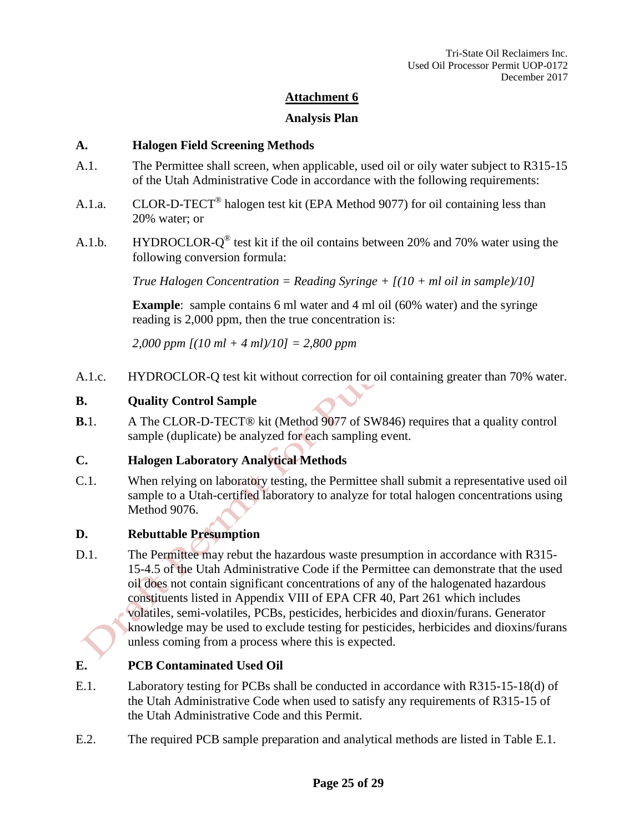#### **Analysis Plan**

#### **A. Halogen Field Screening Methods**

- A.1. The Permittee shall screen, when applicable, used oil or oily water subject to R315-15 of the Utah Administrative Code in accordance with the following requirements:
- A.1.a. CLOR-D-TECT<sup>®</sup> halogen test kit (EPA Method 9077) for oil containing less than 20% water; or
- A.1.b. HYDROCLOR- $Q^{\circledast}$  test kit if the oil contains between 20% and 70% water using the following conversion formula:

*True Halogen Concentration = Reading Syringe + [(10 + ml oil in sample)/10]*

**Example**: sample contains 6 ml water and 4 ml oil (60% water) and the syringe reading is 2,000 ppm, then the true concentration is:

*2,000 ppm [(10 ml + 4 ml)/10] = 2,800 ppm*

A.1.c. HYDROCLOR-Q test kit without correction for oil containing greater than 70% water.

#### **B. Quality Control Sample**

**B.**1. A The CLOR-D-TECT® kit (Method 9077 of SW846) requires that a quality control sample (duplicate) be analyzed for each sampling event.

#### **C. Halogen Laboratory Analytical Methods**

C.1. When relying on laboratory testing, the Permittee shall submit a representative used oil sample to a Utah-certified laboratory to analyze for total halogen concentrations using Method 9076.

#### **D. Rebuttable Presumption**

D.1. The Permittee may rebut the hazardous waste presumption in accordance with R315- 15-4.5 of the Utah Administrative Code if the Permittee can demonstrate that the used oil does not contain significant concentrations of any of the halogenated hazardous constituents listed in Appendix VIII of EPA CFR 40, Part 261 which includes volatiles, semi-volatiles, PCBs, pesticides, herbicides and dioxin/furans. Generator knowledge may be used to exclude testing for pesticides, herbicides and dioxins/furans unless coming from a process where this is expected.

#### **E. PCB Contaminated Used Oil**

- E.1. Laboratory testing for PCBs shall be conducted in accordance with R315-15-18(d) of the Utah Administrative Code when used to satisfy any requirements of R315-15 of the Utah Administrative Code and this Permit.
- E.2. The required PCB sample preparation and analytical methods are listed in Table E.1.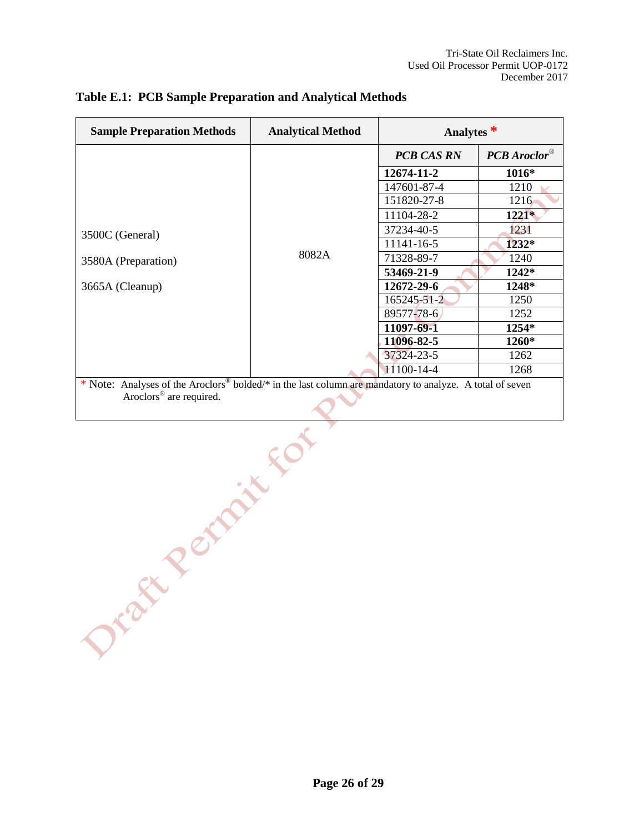| <b>Sample Preparation Methods</b>                                                                                    | <b>Analytical Method</b> | Analytes $*$      |                |  |
|----------------------------------------------------------------------------------------------------------------------|--------------------------|-------------------|----------------|--|
|                                                                                                                      |                          | <b>PCB CAS RN</b> | $PCB$ Aroclor® |  |
|                                                                                                                      |                          | 12674-11-2        | $1016*$        |  |
|                                                                                                                      |                          | 147601-87-4       | 1210           |  |
|                                                                                                                      |                          | 151820-27-8       | 1216           |  |
|                                                                                                                      |                          | 11104-28-2        | $1221*$        |  |
| 3500C (General)                                                                                                      | 8082A                    | 37234-40-5        | 1231           |  |
|                                                                                                                      |                          | 11141-16-5        | 1232*          |  |
| 3580A (Preparation)                                                                                                  |                          | 71328-89-7        | 1240           |  |
|                                                                                                                      |                          | 53469-21-9        | 1242*          |  |
| 3665A (Cleanup)                                                                                                      |                          | 12672-29-6        | 1248*          |  |
|                                                                                                                      |                          | 165245-51-2       | 1250           |  |
|                                                                                                                      |                          | 89577-78-6        | 1252           |  |
|                                                                                                                      |                          | 11097-69-1        | 1254*          |  |
|                                                                                                                      |                          | 11096-82-5        | 1260*          |  |
|                                                                                                                      |                          | 37324-23-5        | 1262           |  |
|                                                                                                                      |                          | $11100 - 14 - 4$  | 1268           |  |
| * Note: Analyses of the Aroclors <sup>®</sup> bolded/* in the last column are mandatory to analyze. A total of seven |                          |                   |                |  |
| Aroclors <sup>®</sup> are required.                                                                                  |                          |                   |                |  |

#### **Table E.1: PCB Sample Preparation and Analytical Methods**

**Page 26 of 29**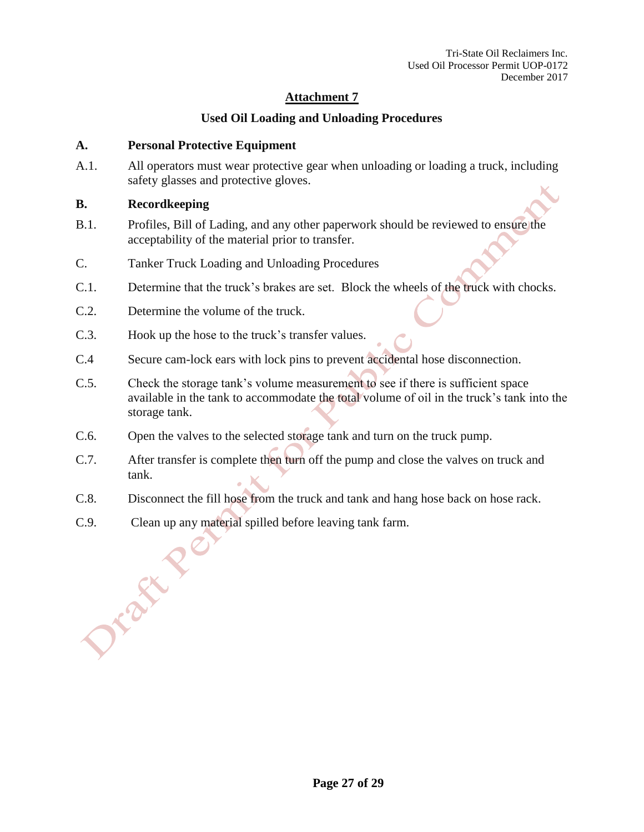## **Used Oil Loading and Unloading Procedures**

#### **A. Personal Protective Equipment**

A.1. All operators must wear protective gear when unloading or loading a truck, including safety glasses and protective gloves.

#### **B. Recordkeeping**

Jrake'

- B.1. Profiles, Bill of Lading, and any other paperwork should be reviewed to ensure the acceptability of the material prior to transfer.
- C. Tanker Truck Loading and Unloading Procedures
- C.1. Determine that the truck's brakes are set. Block the wheels of the truck with chocks.
- C.2. Determine the volume of the truck.
- C.3. Hook up the hose to the truck's transfer values.
- C.4 Secure cam-lock ears with lock pins to prevent accidental hose disconnection.
- C.5. Check the storage tank's volume measurement to see if there is sufficient space available in the tank to accommodate the total volume of oil in the truck's tank into the storage tank.
- C.6. Open the valves to the selected storage tank and turn on the truck pump.
- C.7. After transfer is complete then turn off the pump and close the valves on truck and tank.
- C.8. Disconnect the fill hose from the truck and tank and hang hose back on hose rack.
- C.9. Clean up any material spilled before leaving tank farm.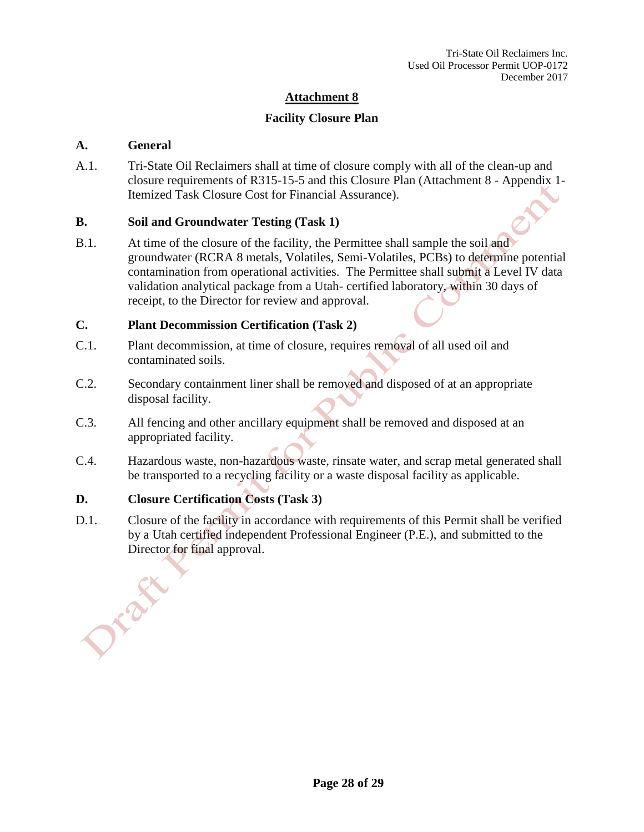## **Facility Closure Plan**

#### **A. General**

A.1. Tri-State Oil Reclaimers shall at time of closure comply with all of the clean-up and closure requirements of R315-15-5 and this Closure Plan (Attachment 8 - Appendix 1- Itemized Task Closure Cost for Financial Assurance).

#### **B. Soil and Groundwater Testing (Task 1)**

B.1. At time of the closure of the facility, the Permittee shall sample the soil and groundwater (RCRA 8 metals, Volatiles, Semi-Volatiles, PCBs) to determine potential contamination from operational activities. The Permittee shall submit a Level IV data validation analytical package from a Utah- certified laboratory, within 30 days of receipt, to the Director for review and approval.

#### **C. Plant Decommission Certification (Task 2)**

- C.1. Plant decommission, at time of closure, requires removal of all used oil and contaminated soils.
- C.2. Secondary containment liner shall be removed and disposed of at an appropriate disposal facility.
- C.3. All fencing and other ancillary equipment shall be removed and disposed at an appropriated facility.
- C.4. Hazardous waste, non-hazardous waste, rinsate water, and scrap metal generated shall be transported to a recycling facility or a waste disposal facility as applicable.

#### **D. Closure Certification Costs (Task 3)**

D.1. Closure of the facility in accordance with requirements of this Permit shall be verified by a Utah certified independent Professional Engineer (P.E.), and submitted to the Director for final approval.